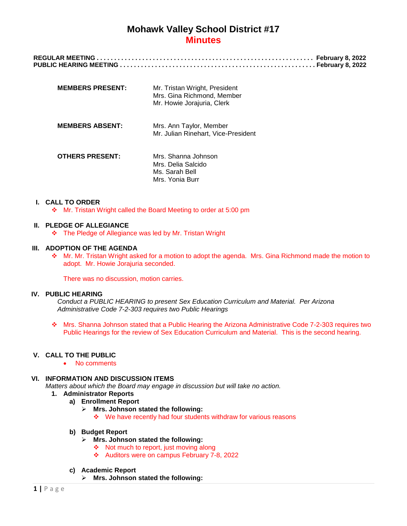# **Mohawk Valley School District #17 Minutes**

| <b>MEMBERS PRESENT:</b> | Mr. Tristan Wright, President<br>Mrs. Gina Richmond, Member<br>Mr. Howie Jorajuria, Clerk |
|-------------------------|-------------------------------------------------------------------------------------------|
| <b>MEMBERS ABSENT:</b>  | Mrs. Ann Taylor, Member<br>Mr. Julian Rinehart, Vice-President                            |
| <b>OTHERS PRESENT:</b>  | Mrs. Shanna Johnson<br>Mrs. Delia Salcido<br>Ms. Sarah Bell<br>Mrs. Yonia Burr            |

### **I. CALL TO ORDER**

Mr. Tristan Wright called the Board Meeting to order at 5:00 pm

### **II. PLEDGE OF ALLEGIANCE**

The Pledge of Allegiance was led by Mr. Tristan Wright

# **III. ADOPTION OF THE AGENDA**

\* Mr. Mr. Tristan Wright asked for a motion to adopt the agenda. Mrs. Gina Richmond made the motion to adopt. Mr. Howie Jorajuria seconded.

There was no discussion, motion carries.

### **IV. PUBLIC HEARING**

*Conduct a PUBLIC HEARING to present Sex Education Curriculum and Material. Per Arizona Administrative Code 7-2-303 requires two Public Hearings*

 Mrs. Shanna Johnson stated that a Public Hearing the Arizona Administrative Code 7-2-303 requires two Public Hearings for the review of Sex Education Curriculum and Material. This is the second hearing.

# **V. CALL TO THE PUBLIC**

• No comments

### **VI. INFORMATION AND DISCUSSION ITEMS**

*Matters about which the Board may engage in discussion but will take no action.*

- **1. Administrator Reports**
	- **a) Enrollment Report**
		- **Mrs. Johnson stated the following:**
			- We have recently had four students withdraw for various reasons

### **b) Budget Report**

- **Mrs. Johnson stated the following:**
	- $\triangleleft$  Not much to report, just moving along
	- \* Auditors were on campus February 7-8, 2022

### **c) Academic Report**

**Mrs. Johnson stated the following:**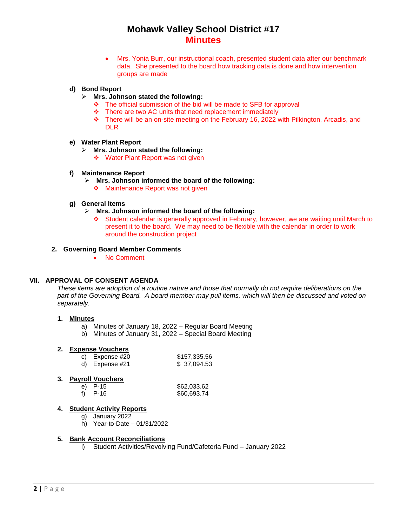# **Mohawk Valley School District #17 Minutes**

 Mrs. Yonia Burr, our instructional coach, presented student data after our benchmark data. She presented to the board how tracking data is done and how intervention groups are made

# **d) Bond Report**

- **Mrs. Johnson stated the following:**
	- \* The official submission of the bid will be made to SFB for approval
	- \* There are two AC units that need replacement immediately
	- $\div$  There will be an on-site meeting on the February 16, 2022 with Pilkington, Arcadis, and DLR

### **e) Water Plant Report**

- **Mrs. Johnson stated the following:**
	- ❖ Water Plant Report was not given
- **f) Maintenance Report**
	- **Mrs. Johnson informed the board of the following:**
		- ❖ Maintenance Report was not given

#### **g) General Items**

- **Mrs. Johnson informed the board of the following:**
	- Student calendar is generally approved in February, however, we are waiting until March to present it to the board. We may need to be flexible with the calendar in order to work around the construction project

#### **2. Governing Board Member Comments**

• No Comment

### **VII. APPROVAL OF CONSENT AGENDA**

*These items are adoption of a routine nature and those that normally do not require deliberations on the part of the Governing Board. A board member may pull items, which will then be discussed and voted on separately.*

### **1. Minutes**

- a) Minutes of January 18, 2022 Regular Board Meeting
- b) Minutes of January 31, 2022 Special Board Meeting

# **2. Expense Vouchers**

| c) Expense $#20$ | \$157,335.56 |
|------------------|--------------|
| d) Expense $#21$ | \$37,094.53  |

### **3. Payroll Vouchers**

| e) P-15   | \$62,033.62 |
|-----------|-------------|
| f) $P-16$ | \$60,693.74 |

### **4. Student Activity Reports**

- g) January 2022
- h) Year-to-Date 01/31/2022

#### **5. Bank Account Reconciliations**

i) Student Activities/Revolving Fund/Cafeteria Fund – January 2022